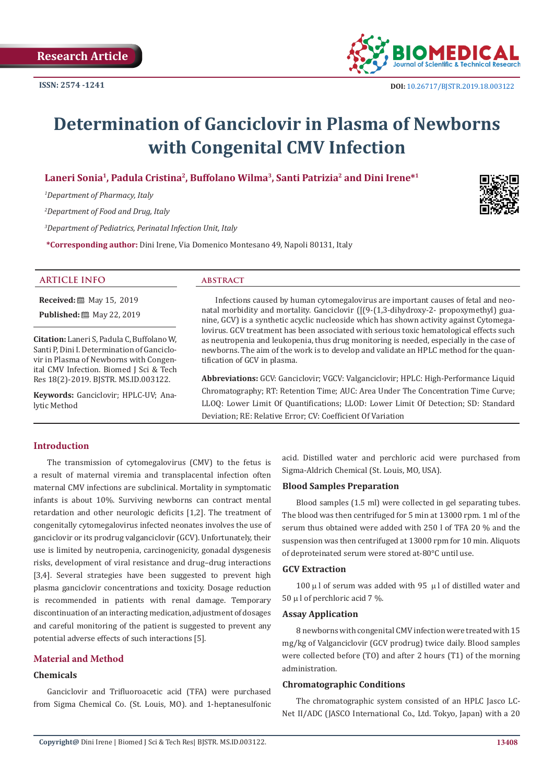

# **Determination of Ganciclovir in Plasma of Newborns with Congenital CMV Infection**

# **Laneri Sonia1, Padula Cristina2, Buffolano Wilma3, Santi Patrizia2 and Dini Irene\*1**

*1 Department of Pharmacy, Italy* 

*2 Department of Food and Drug, Italy* 

*3 Department of Pediatrics, Perinatal Infection Unit, Italy* 

**\*Corresponding author:** Dini Irene, Via Domenico Montesano 49, Napoli 80131, Italy



#### **ARTICLE INFO abstract**

**Received:** ■ May 15, 2019

**Published:** 圖 May 22, 2019

**Citation:** Laneri S, Padula C, Buffolano W, Santi P, Dini I. Determination of Ganciclovir in Plasma of Newborns with Congenital CMV Infection. Biomed J Sci & Tech Res 18(2)-2019. BJSTR. MS.ID.003122.

**Keywords:** Ganciclovir; HPLC-UV; Analytic Method

Infections caused by human cytomegalovirus are important causes of fetal and neonatal morbidity and mortality. Ganciclovir ([(9-(1,3-dihydroxy-2- propoxymethyl) guanine, GCV) is a synthetic acyclic nucleoside which has shown activity against Cytomegalovirus. GCV treatment has been associated with serious toxic hematological effects such as neutropenia and leukopenia, thus drug monitoring is needed, especially in the case of newborns. The aim of the work is to develop and validate an HPLC method for the quantification of GCV in plasma.

**Abbreviations:** GCV: Ganciclovir; VGCV: Valganciclovir; HPLC: High-Performance Liquid Chromatography; RT: Retention Time; AUC: Area Under The Concentration Time Curve; LLOQ: Lower Limit Of Quantifications; LLOD: Lower Limit Of Detection; SD: Standard Deviation; RE: Relative Error; CV: Coefficient Of Variation

# **Introduction**

The transmission of cytomegalovirus (CMV) to the fetus is a result of maternal viremia and transplacental infection often maternal CMV infections are subclinical. Mortality in symptomatic infants is about 10%. Surviving newborns can contract mental retardation and other neurologic deficits [1,2]. The treatment of congenitally cytomegalovirus infected neonates involves the use of ganciclovir or its prodrug valganciclovir (GCV). Unfortunately, their use is limited by neutropenia, carcinogenicity, gonadal dysgenesis risks, development of viral resistance and drug–drug interactions [3,4]. Several strategies have been suggested to prevent high plasma ganciclovir concentrations and toxicity. Dosage reduction is recommended in patients with renal damage. Temporary discontinuation of an interacting medication, adjustment of dosages and careful monitoring of the patient is suggested to prevent any potential adverse effects of such interactions [5].

### **Material and Method**

# **Chemicals**

Ganciclovir and Trifluoroacetic acid (TFA) were purchased from Sigma Chemical Co. (St. Louis, MO). and 1-heptanesulfonic acid. Distilled water and perchloric acid were purchased from Sigma-Aldrich Chemical (St. Louis, MO, USA).

#### **Blood Samples Preparation**

Blood samples (1.5 ml) were collected in gel separating tubes. The blood was then centrifuged for 5 min at 13000 rpm. 1 ml of the serum thus obtained were added with 250 l of TFA 20 % and the suspension was then centrifuged at 13000 rpm for 10 min. Aliquots of deproteinated serum were stored at-80°C until use.

# **GCV Extraction**

 $100 \mu$ l of serum was added with 95  $\mu$ l of distilled water and  $50 \mu$  l of perchloric acid 7 %.

#### **Assay Application**

8 newborns with congenital CMV infection were treated with 15 mg/kg of Valganciclovir (GCV prodrug) twice daily. Blood samples were collected before (TO) and after 2 hours (T1) of the morning administration.

#### **Chromatographic Conditions**

The chromatographic system consisted of an HPLC Jasco LC-Net II/ADC (JASCO International Co., Ltd. Tokyo, Japan) with a 20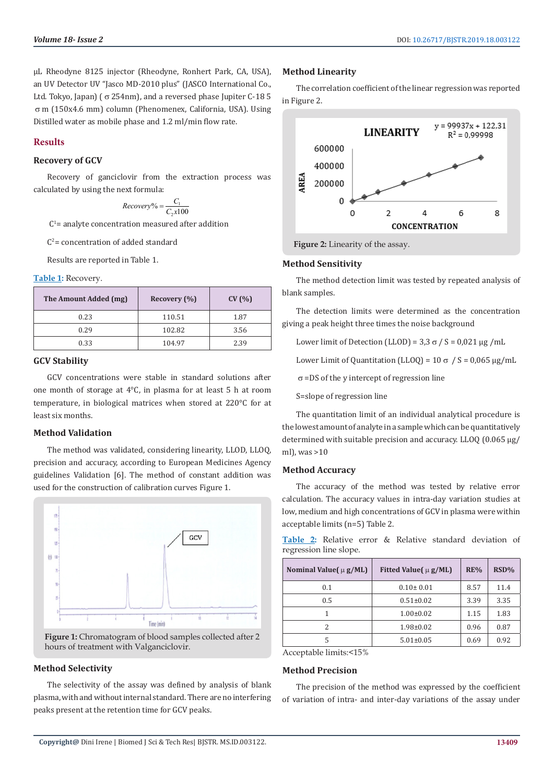μL Rheodyne 8125 injector (Rheodyne, Ronhert Park, CA, USA), an UV Detector UV "Jasco MD-2010 plus" (JASCO International Co., Ltd. Tokyo, Japan) ( $\sigma$  254nm), and a reversed phase Jupiter C-18 5 m (150x4.6 mm) column (Phenomenex, California, USA). Using Distilled water as mobile phase and 1.2 ml/min flow rate.

#### **Results**

# **Recovery of GCV**

Recovery of ganciclovir from the extraction process was calculated by using the next formula:

$$
Recovery\% = \frac{C_1}{C_2 \times 100}
$$

 $C<sup>1</sup>$  = analyte concentration measured after addition

 $C<sup>2</sup>$  = concentration of added standard

Results are reported in Table 1.

#### **Table 1:** Recovery.

| The Amount Added (mg) | Recovery (%) | CV(% ) |
|-----------------------|--------------|--------|
| 0.23                  | 110.51       | 1.87   |
| 0.29                  | 102.82       | 3.56   |
| 0.33                  | 104.97       | 2.39   |

# **GCV Stability**

GCV concentrations were stable in standard solutions after one month of storage at 4°C, in plasma for at least 5 h at room temperature, in biological matrices when stored at 220°C for at least six months.

#### **Method Validation**

The method was validated, considering linearity, LLOD, LLOQ, precision and accuracy, according to European Medicines Agency guidelines Validation [6]. The method of constant addition was used for the construction of calibration curves Figure 1.



**Figure 1:** Chromatogram of blood samples collected after 2 hours of treatment with Valganciclovir.

# **Method Selectivity**

The selectivity of the assay was defined by analysis of blank plasma, with and without internal standard. There are no interfering peaks present at the retention time for GCV peaks.

#### **Method Linearity**

The correlation coefficient of the linear regression was reported in Figure 2.



**Figure 2:** Linearity of the assay.

#### **Method Sensitivity**

The method detection limit was tested by repeated analysis of blank samples.

The detection limits were determined as the concentration giving a peak height three times the noise background

Lower limit of Detection (LLOD) =  $3.3 \sigma / S = 0.021$  μg /mL

Lower Limit of Quantitation (LLOQ) =  $10 \sigma / S = 0.065 \mu g/mL$ 

 $\sigma$  =DS of the y intercept of regression line

S=slope of regression line

The quantitation limit of an individual analytical procedure is the lowest amount of analyte in a sample which can be quantitatively determined with suitable precision and accuracy. LLOQ (0.065 μg/ ml), was >10

#### **Method Accuracy**

The accuracy of the method was tested by relative error calculation. The accuracy values in intra-day variation studies at low, medium and high concentrations of GCV in plasma were within acceptable limits (n=5) Table 2.

|  |                        |  |  | <b>Table 2:</b> Relative error & Relative standard deviation of |  |
|--|------------------------|--|--|-----------------------------------------------------------------|--|
|  | regression line slope. |  |  |                                                                 |  |

| Nominal Value( $\mu$ g/ML) | Fitted Value( $\mu$ g/ML) | RE%  | RSD% |
|----------------------------|---------------------------|------|------|
| 0.1                        | $0.10 \pm 0.01$           | 8.57 | 11.4 |
| 0.5                        | $0.51 \pm 0.02$           | 3.39 | 3.35 |
|                            | $1.00 \pm 0.02$           | 1.15 | 1.83 |
| 2                          | $1.98 \pm 0.02$           | 0.96 | 0.87 |
| 5                          | $5.01 \pm 0.05$           | 0.69 | 0.92 |

Acceptable limits:<15%

#### **Method Precision**

The precision of the method was expressed by the coefficient of variation of intra- and inter-day variations of the assay under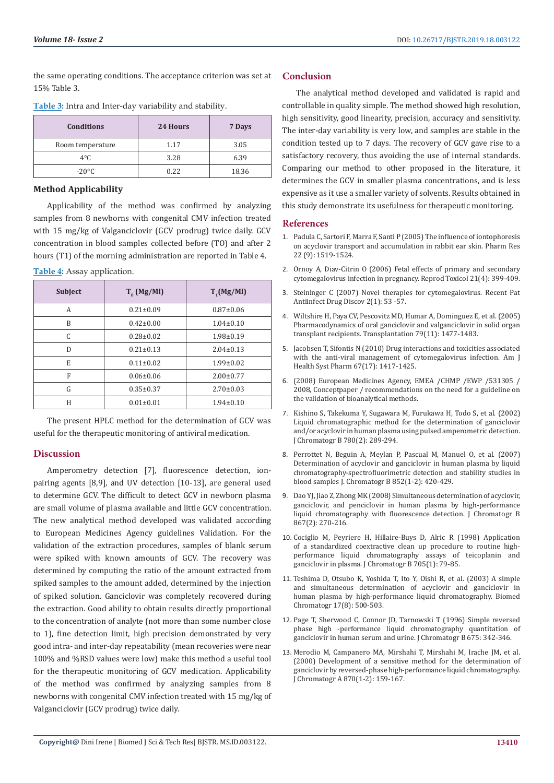the same operating conditions. The acceptance criterion was set at 15% Table 3.

| <b>Conditions</b> | 24 Hours | 7 Days |
|-------------------|----------|--------|
| Room temperature  | 1.17     | 3.05   |
| $4^{\circ}$ C     | 3.28     | 6.39   |
| $-20^{\circ}$ C   | 0.22     | 18.36  |

**Table 3:** Intra and Inter-day variability and stability.

#### **Method Applicability**

Applicability of the method was confirmed by analyzing samples from 8 newborns with congenital CMV infection treated with 15 mg/kg of Valganciclovir (GCV prodrug) twice daily. GCV concentration in blood samples collected before (TO) and after 2 hours (T1) of the morning administration are reported in Table 4.

| Table 4: Assay application. |  |
|-----------------------------|--|
|-----------------------------|--|

| <b>Subject</b> | $T_{0}$ (Mg/Ml) | $T_1(Mg/Ml)$    |
|----------------|-----------------|-----------------|
| A              | $0.21 \pm 0.09$ | $0.87 \pm 0.06$ |
| B              | $0.42 \pm 0.00$ | $1.04 \pm 0.10$ |
| C              | $0.28 \pm 0.02$ | $1.98 \pm 0.19$ |
| D              | $0.21 \pm 0.13$ | $2.04 \pm 0.13$ |
| E              | $0.11 \pm 0.02$ | $1.99 \pm 0.02$ |
| F              | $0.06 \pm 0.06$ | $2.00 \pm 0.77$ |
| G              | $0.35 \pm 0.37$ | $2.70 \pm 0.03$ |
| Н              | $0.01 \pm 0.01$ | $1.94 \pm 0.10$ |

The present HPLC method for the determination of GCV was useful for the therapeutic monitoring of antiviral medication.

#### **Discussion**

Amperometry detection [7], fluorescence detection, ionpairing agents [8,9], and UV detection [10-13], are general used to determine GCV. The difficult to detect GCV in newborn plasma are small volume of plasma available and little GCV concentration. The new analytical method developed was validated according to European Medicines Agency guidelines Validation. For the validation of the extraction procedures, samples of blank serum were spiked with known amounts of GCV. The recovery was determined by computing the ratio of the amount extracted from spiked samples to the amount added, determined by the injection of spiked solution. Ganciclovir was completely recovered during the extraction. Good ability to obtain results directly proportional to the concentration of analyte (not more than some number close to 1), fine detection limit, high precision demonstrated by very good intra- and inter-day repeatability (mean recoveries were near 100% and %RSD values were low) make this method a useful tool for the therapeutic monitoring of GCV medication. Applicability of the method was confirmed by analyzing samples from 8 newborns with congenital CMV infection treated with 15 mg/kg of Valganciclovir (GCV prodrug) twice daily.

### **Conclusion**

The analytical method developed and validated is rapid and controllable in quality simple. The method showed high resolution, high sensitivity, good linearity, precision, accuracy and sensitivity. The inter-day variability is very low, and samples are stable in the condition tested up to 7 days. The recovery of GCV gave rise to a satisfactory recovery, thus avoiding the use of internal standards. Comparing our method to other proposed in the literature, it determines the GCV in smaller plasma concentrations, and is less expensive as it use a smaller variety of solvents. Results obtained in this study demonstrate its usefulness for therapeutic monitoring.

#### **References**

- 1. [Padula C, Sartori F, Marra F, Santi P \(2005\) The influence of iontophoresis](https://www.ncbi.nlm.nih.gov/pubmed/16132364) [on acyclovir transport and accumulation in rabbit ear skin. Pharm Res](https://www.ncbi.nlm.nih.gov/pubmed/16132364) [22 \(9\): 1519-1524.](https://www.ncbi.nlm.nih.gov/pubmed/16132364)
- 2. [Ornoy A, Diav-Citrin O \(2006\) Fetal effects of primary and secondary](https://www.ncbi.nlm.nih.gov/pubmed/16580941) [cytomegalovirus infection in pregnancy. Reprod Toxicol 21\(4\): 399-409.](https://www.ncbi.nlm.nih.gov/pubmed/16580941)
- 3. [Steininger C \(2007\) Novel therapies for cytomegalovirus. Recent Pat](https://www.ncbi.nlm.nih.gov/pubmed/18221163) [Antiinfect Drug Discov 2\(1\): 53 -57.](https://www.ncbi.nlm.nih.gov/pubmed/18221163)
- 4. [Wiltshire H, Paya CV, Pescovitz MD, Humar A, Dominguez E, et al. \(2005\)](https://www.ncbi.nlm.nih.gov/pubmed/15940035) [Pharmacodynamics of oral ganciclovir and valganciclovir in solid organ](https://www.ncbi.nlm.nih.gov/pubmed/15940035) [transplant recipients. Transplantation 79\(11\): 1477-1483.](https://www.ncbi.nlm.nih.gov/pubmed/15940035)
- 5. [Jacobsen T, Sifontis N \(2010\) Drug interactions and toxicities associated](https://www.ncbi.nlm.nih.gov/pubmed/20720240) [with the anti-viral management of cytomegalovirus infection. Am J](https://www.ncbi.nlm.nih.gov/pubmed/20720240) [Health Syst Pharm 67\(17\): 1417-1425.](https://www.ncbi.nlm.nih.gov/pubmed/20720240)
- 6. [\(2008\) European Medicines Agency, EMEA /CHMP /EWP /531305 /](https://www.researchgate.net/publication/268146686_The_EMA_Bioanalytical_Method_Validation_Guideline_process_history_discussions_and_evaluation_of_its_content) [2008, Conceptpaper / recommendations on the need for a guideline on](https://www.researchgate.net/publication/268146686_The_EMA_Bioanalytical_Method_Validation_Guideline_process_history_discussions_and_evaluation_of_its_content) [the validation of bioanalytical methods.](https://www.researchgate.net/publication/268146686_The_EMA_Bioanalytical_Method_Validation_Guideline_process_history_discussions_and_evaluation_of_its_content)
- 7. [Kishino S, Takekuma Y, Sugawara M, Furukawa H, Todo S, et al. \(2002\)](https://www.ncbi.nlm.nih.gov/pubmed/12401354) [Liquid chromatographic method for the determination of ganciclovir](https://www.ncbi.nlm.nih.gov/pubmed/12401354) [and/or acyclovir in human plasma using pulsed amperometric detection.](https://www.ncbi.nlm.nih.gov/pubmed/12401354) [J Chromatogr B 780\(2\): 289-294.](https://www.ncbi.nlm.nih.gov/pubmed/12401354)
- 8. [Perrottet N, Beguin A, Meylan P, Pascual M, Manuel O, et al. \(2007\)](https://www.ncbi.nlm.nih.gov/pubmed/17303480) [Determination of acyclovir and ganciclovir in human plasma by liquid](https://www.ncbi.nlm.nih.gov/pubmed/17303480) [chromatography-spectrofluorimetric detection and stability studies in](https://www.ncbi.nlm.nih.gov/pubmed/17303480) [blood samples J. Chromatogr B 852\(1-2\): 420-429.](https://www.ncbi.nlm.nih.gov/pubmed/17303480)
- 9. [Dao YJ, Jiao Z, Zhong MK \(2008\) Simultaneous determination of acyclovir,](https://www.ncbi.nlm.nih.gov/pubmed/18468495) [ganciclovir, and penciclovir in human plasma by high-performance](https://www.ncbi.nlm.nih.gov/pubmed/18468495) [liquid chromatography with fluorescence detection. J Chromatogr B](https://www.ncbi.nlm.nih.gov/pubmed/18468495) [867\(2\): 270-216.](https://www.ncbi.nlm.nih.gov/pubmed/18468495)
- 10. [Cociglio M, Peyriere H, Hillaire-Buys D, Alric R \(1998\) Application](https://www.ncbi.nlm.nih.gov/pubmed/9498673) [of a standardized coextractive clean up procedure to routine high](https://www.ncbi.nlm.nih.gov/pubmed/9498673)[performance liquid chromatography assays of teicoplanin and](https://www.ncbi.nlm.nih.gov/pubmed/9498673) [ganciclovir in plasma. J Chromatogr B 705\(1\): 79-85.](https://www.ncbi.nlm.nih.gov/pubmed/9498673)
- 11. [Teshima D, Otsubo K, Yoshida T, Ito Y, Oishi R, et al. \(2003\) A simple](https://www.ncbi.nlm.nih.gov/pubmed/14648605) [and simultaneous determination of acyclovir and ganciclovir in](https://www.ncbi.nlm.nih.gov/pubmed/14648605) [human plasma by high-performance liquid chromatography. Biomed](https://www.ncbi.nlm.nih.gov/pubmed/14648605) [Chromatogr 17\(8\): 500-503.](https://www.ncbi.nlm.nih.gov/pubmed/14648605)
- 12. Page T, Sherwood C, Connor JD, Tarnowski T (1996) Simple reversed phase high -performance liquid chromatography quantitation of ganciclovir in human serum and urine. J Chromatogr B 675: 342-346.
- 13. [Merodio M, Campanero MA, Mirshahi T, Mirshahi M, Irache JM, et al.](https://www.ncbi.nlm.nih.gov/pubmed/10722073) [\(2000\) Development of a sensitive method for the determination of](https://www.ncbi.nlm.nih.gov/pubmed/10722073) [ganciclovir by reversed-phase high-performance liquid chromatography.](https://www.ncbi.nlm.nih.gov/pubmed/10722073) [J Chromatogr A 870\(1-2\): 159-167.](https://www.ncbi.nlm.nih.gov/pubmed/10722073)